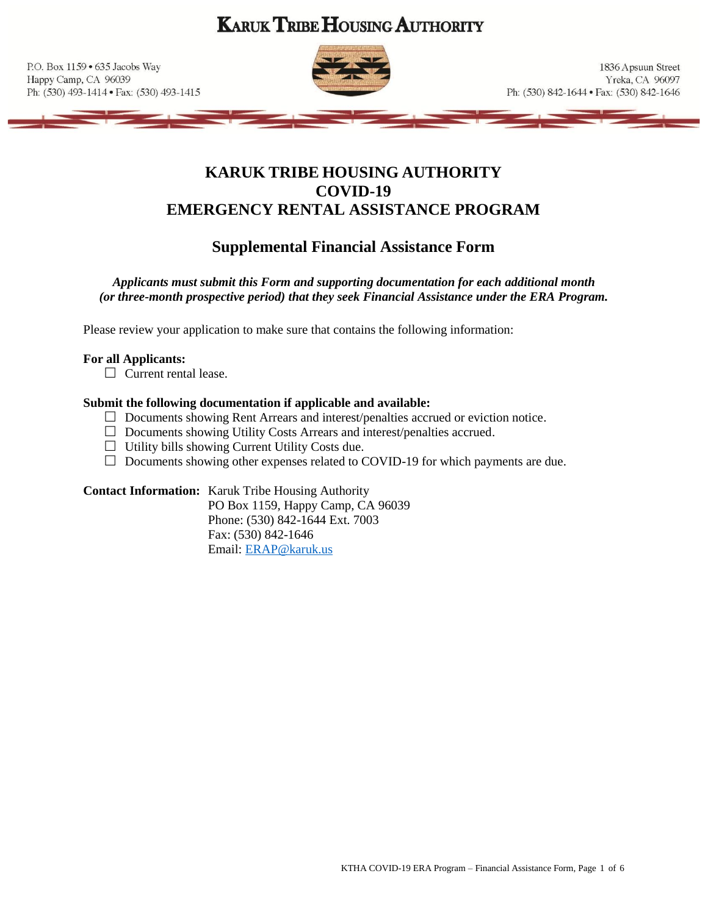**KARUK TRIBE HOUSING AUTHORITY** 

P.O. Box 1159 . 635 Jacobs Way Happy Camp, CA 96039 Ph: (530) 493-1414 · Fax: (530) 493-1415



1836 Apsuun Street Yreka, CA 96097 Ph: (530) 842-1644 · Fax: (530) 842-1646

# **KARUK TRIBE HOUSING AUTHORITY COVID-19 EMERGENCY RENTAL ASSISTANCE PROGRAM**

# **Supplemental Financial Assistance Form**

*Applicants must submit this Form and supporting documentation for each additional month (or three-month prospective period) that they seek Financial Assistance under the ERA Program.*

Please review your application to make sure that contains the following information:

## **For all Applicants:**

 $\Box$  Current rental lease.

## **Submit the following documentation if applicable and available:**

- □ Documents showing Rent Arrears and interest/penalties accrued or eviction notice.
- Documents showing Utility Costs Arrears and interest/penalties accrued.
- $\Box$  Utility bills showing Current Utility Costs due.
- $\Box$  Documents showing other expenses related to COVID-19 for which payments are due.

## **Contact Information:** Karuk Tribe Housing Authority

PO Box 1159, Happy Camp, CA 96039 Phone: (530) 842-1644 Ext. 7003 Fax: (530) 842-1646 Email: [ERAP@karuk.us](mailto:ERAP@karuk.us)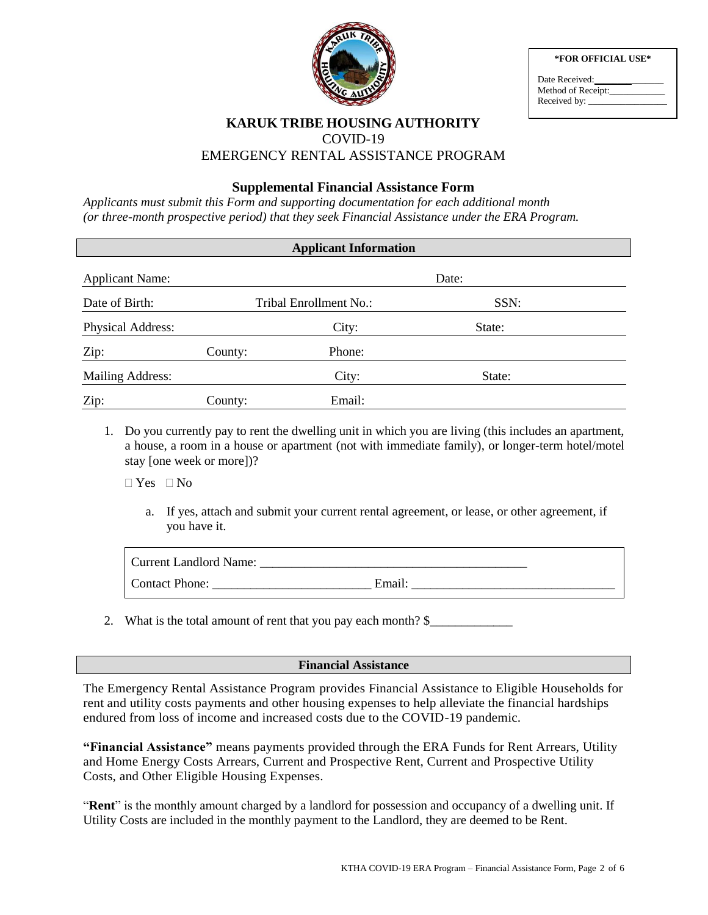

|  |  | *FOR OFFICIAL USE* |  |
|--|--|--------------------|--|
|--|--|--------------------|--|

| Date Received:     |  |
|--------------------|--|
| Method of Receipt: |  |
| Received by: _     |  |

# **KARUK TRIBE HOUSING AUTHORITY** COVID-19 EMERGENCY RENTAL ASSISTANCE PROGRAM

# **Supplemental Financial Assistance Form**

*Applicants must submit this Form and supporting documentation for each additional month (or three-month prospective period) that they seek Financial Assistance under the ERA Program.* 

| <b>Applicant Information</b> |         |                        |        |  |  |
|------------------------------|---------|------------------------|--------|--|--|
| <b>Applicant Name:</b>       |         |                        | Date:  |  |  |
| Date of Birth:               |         | Tribal Enrollment No.: | SSN:   |  |  |
| Physical Address:            |         | City:                  | State: |  |  |
| Zip:                         | County: | Phone:                 |        |  |  |
| Mailing Address:             |         | City:                  | State: |  |  |
| Zip:                         | County: | Email:                 |        |  |  |

1. Do you currently pay to rent the dwelling unit in which you are living (this includes an apartment, a house, a room in a house or apartment (not with immediate family), or longer-term hotel/motel stay [one week or more])?

 $\Box$  Yes  $\Box$  No

a. If yes, attach and submit your current rental agreement, or lease, or other agreement, if you have it.

| <b>Current Landlord Name:</b> |        |
|-------------------------------|--------|
| <b>Contact Phone:</b>         | Email: |

2. What is the total amount of rent that you pay each month? \$\_\_\_\_\_\_\_\_\_\_\_\_\_\_\_\_\_\_

#### **Financial Assistance**

The Emergency Rental Assistance Program provides Financial Assistance to Eligible Households for rent and utility costs payments and other housing expenses to help alleviate the financial hardships endured from loss of income and increased costs due to the COVID-19 pandemic.

**"Financial Assistance"** means payments provided through the ERA Funds for Rent Arrears, Utility and Home Energy Costs Arrears, Current and Prospective Rent, Current and Prospective Utility Costs, and Other Eligible Housing Expenses.

"**Rent**" is the monthly amount charged by a landlord for possession and occupancy of a dwelling unit. If Utility Costs are included in the monthly payment to the Landlord, they are deemed to be Rent.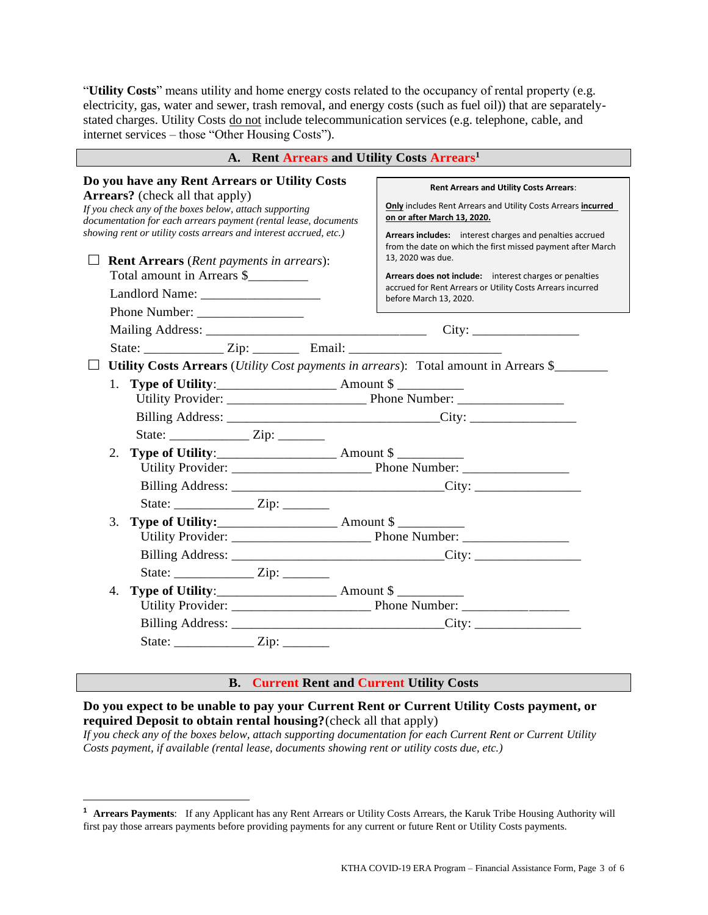"**Utility Costs**" means utility and home energy costs related to the occupancy of rental property (e.g. electricity, gas, water and sewer, trash removal, and energy costs (such as fuel oil)) that are separatelystated charges. Utility Costs do not include telecommunication services (e.g. telephone, cable, and internet services – those "Other Housing Costs").

| A. Rent Arrears and Utility Costs Arrears <sup>1</sup>                                                                                                                                                                                                                                    |                                                                                                                                                                                                                                                                                  |  |  |  |
|-------------------------------------------------------------------------------------------------------------------------------------------------------------------------------------------------------------------------------------------------------------------------------------------|----------------------------------------------------------------------------------------------------------------------------------------------------------------------------------------------------------------------------------------------------------------------------------|--|--|--|
| Do you have any Rent Arrears or Utility Costs<br><b>Arrears?</b> (check all that apply)<br>If you check any of the boxes below, attach supporting<br>documentation for each arrears payment (rental lease, documents<br>showing rent or utility costs arrears and interest accrued, etc.) | <b>Rent Arrears and Utility Costs Arrears:</b><br><b>Only</b> includes Rent Arrears and Utility Costs Arrears incurred<br>on or after March 13, 2020.<br>Arrears includes: interest charges and penalties accrued<br>from the date on which the first missed payment after March |  |  |  |
| <b>Rent Arrears</b> (Rent payments in arrears):<br>Total amount in Arrears \$                                                                                                                                                                                                             | 13, 2020 was due.<br>Arrears does not include: interest charges or penalties<br>accrued for Rent Arrears or Utility Costs Arrears incurred<br>before March 13, 2020.                                                                                                             |  |  |  |
|                                                                                                                                                                                                                                                                                           |                                                                                                                                                                                                                                                                                  |  |  |  |
| State: _________________ Zip: ____________ Email: ______________________________                                                                                                                                                                                                          |                                                                                                                                                                                                                                                                                  |  |  |  |
| Utility Costs Arrears (Utility Cost payments in arrears): Total amount in Arrears \$<br>2.                                                                                                                                                                                                |                                                                                                                                                                                                                                                                                  |  |  |  |
| 3.                                                                                                                                                                                                                                                                                        |                                                                                                                                                                                                                                                                                  |  |  |  |
| 4.<br><b>Type of Utility:_______________________</b> Amount \$ ____________                                                                                                                                                                                                               |                                                                                                                                                                                                                                                                                  |  |  |  |
| $\sim$ $\sim$ $\sim$                                                                                                                                                                                                                                                                      |                                                                                                                                                                                                                                                                                  |  |  |  |

#### **B. Current Rent and Current Utility Costs**

## **Do you expect to be unable to pay your Current Rent or Current Utility Costs payment, or required Deposit to obtain rental housing?**(check all that apply)

*If you check any of the boxes below, attach supporting documentation for each Current Rent or Current Utility Costs payment, if available (rental lease, documents showing rent or utility costs due, etc.)*

l

**<sup>1</sup> Arrears Payments**: If any Applicant has any Rent Arrears or Utility Costs Arrears, the Karuk Tribe Housing Authority will first pay those arrears payments before providing payments for any current or future Rent or Utility Costs payments.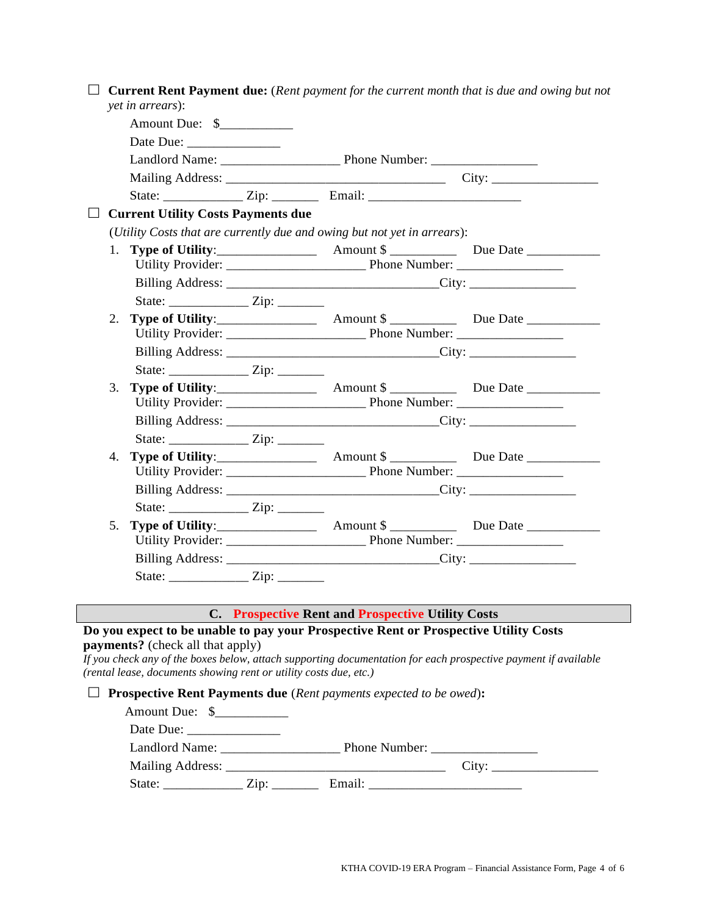|    | yet in arrears):                                                                                             |                                                                                                                | <b>Current Rent Payment due:</b> (Rent payment for the current month that is due and owing but not |
|----|--------------------------------------------------------------------------------------------------------------|----------------------------------------------------------------------------------------------------------------|----------------------------------------------------------------------------------------------------|
|    | Amount Due: \$                                                                                               |                                                                                                                |                                                                                                    |
|    | Date Due:                                                                                                    |                                                                                                                |                                                                                                    |
|    |                                                                                                              |                                                                                                                |                                                                                                    |
|    |                                                                                                              |                                                                                                                |                                                                                                    |
|    |                                                                                                              |                                                                                                                |                                                                                                    |
|    | <b>Current Utility Costs Payments due</b>                                                                    |                                                                                                                |                                                                                                    |
|    |                                                                                                              | (Utility Costs that are currently due and owing but not yet in arrears):                                       |                                                                                                    |
|    |                                                                                                              |                                                                                                                |                                                                                                    |
|    |                                                                                                              |                                                                                                                |                                                                                                    |
|    |                                                                                                              |                                                                                                                |                                                                                                    |
|    |                                                                                                              |                                                                                                                |                                                                                                    |
| 2. |                                                                                                              |                                                                                                                |                                                                                                    |
|    |                                                                                                              |                                                                                                                |                                                                                                    |
|    |                                                                                                              |                                                                                                                |                                                                                                    |
|    |                                                                                                              |                                                                                                                |                                                                                                    |
| 3. |                                                                                                              |                                                                                                                |                                                                                                    |
|    |                                                                                                              |                                                                                                                |                                                                                                    |
|    |                                                                                                              |                                                                                                                |                                                                                                    |
|    |                                                                                                              |                                                                                                                |                                                                                                    |
| 4. |                                                                                                              |                                                                                                                |                                                                                                    |
|    |                                                                                                              |                                                                                                                |                                                                                                    |
|    |                                                                                                              |                                                                                                                |                                                                                                    |
|    |                                                                                                              |                                                                                                                |                                                                                                    |
| 5. |                                                                                                              |                                                                                                                |                                                                                                    |
|    |                                                                                                              |                                                                                                                |                                                                                                    |
|    |                                                                                                              |                                                                                                                |                                                                                                    |
|    |                                                                                                              |                                                                                                                |                                                                                                    |
|    |                                                                                                              | C. Prospective Rent and Prospective Utility Costs                                                              |                                                                                                    |
|    |                                                                                                              | Do you expect to be unable to pay your Prospective Rent or Prospective Utility Costs                           |                                                                                                    |
|    | <b>payments?</b> (check all that apply)<br>(rental lease, documents showing rent or utility costs due, etc.) | If you check any of the boxes below, attach supporting documentation for each prospective payment if available |                                                                                                    |
|    |                                                                                                              | <b>Prospective Rent Payments due</b> (Rent payments expected to be owed):                                      |                                                                                                    |
|    | Amount Due: \$__________                                                                                     |                                                                                                                |                                                                                                    |
|    | Date Due:                                                                                                    |                                                                                                                |                                                                                                    |
|    | Landlord Name: ____________                                                                                  | Phone Number: ______                                                                                           |                                                                                                    |

| .<br>$\sim$<br>c<br>__ |                          |     | ິ |
|------------------------|--------------------------|-----|---|
| ັ                      | $\overline{\phantom{a}}$ | . . |   |
| ______________         | _________                |     |   |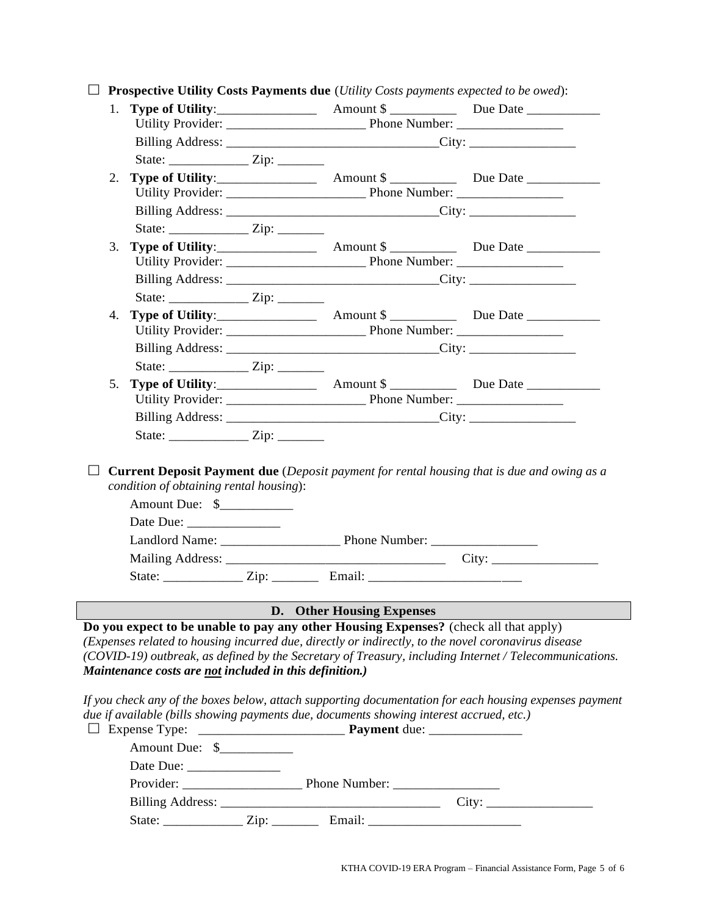| <b>Prospective Utility Costs Payments due</b> (Utility Costs payments expected to be owed): |                                                         |                                                                                         |                                                                                                                                                                                                               |
|---------------------------------------------------------------------------------------------|---------------------------------------------------------|-----------------------------------------------------------------------------------------|---------------------------------------------------------------------------------------------------------------------------------------------------------------------------------------------------------------|
| $1_{\cdot}$                                                                                 |                                                         |                                                                                         |                                                                                                                                                                                                               |
|                                                                                             |                                                         |                                                                                         |                                                                                                                                                                                                               |
|                                                                                             |                                                         |                                                                                         |                                                                                                                                                                                                               |
|                                                                                             |                                                         |                                                                                         |                                                                                                                                                                                                               |
| 2.                                                                                          |                                                         |                                                                                         |                                                                                                                                                                                                               |
|                                                                                             |                                                         |                                                                                         |                                                                                                                                                                                                               |
|                                                                                             |                                                         |                                                                                         |                                                                                                                                                                                                               |
|                                                                                             |                                                         |                                                                                         |                                                                                                                                                                                                               |
| 3.                                                                                          |                                                         |                                                                                         |                                                                                                                                                                                                               |
|                                                                                             |                                                         |                                                                                         |                                                                                                                                                                                                               |
|                                                                                             |                                                         |                                                                                         |                                                                                                                                                                                                               |
|                                                                                             |                                                         |                                                                                         |                                                                                                                                                                                                               |
| 4.                                                                                          |                                                         |                                                                                         |                                                                                                                                                                                                               |
|                                                                                             |                                                         |                                                                                         |                                                                                                                                                                                                               |
|                                                                                             |                                                         |                                                                                         |                                                                                                                                                                                                               |
|                                                                                             |                                                         |                                                                                         |                                                                                                                                                                                                               |
| 5.                                                                                          |                                                         |                                                                                         |                                                                                                                                                                                                               |
|                                                                                             |                                                         |                                                                                         |                                                                                                                                                                                                               |
|                                                                                             |                                                         |                                                                                         |                                                                                                                                                                                                               |
|                                                                                             | condition of obtaining rental housing):                 |                                                                                         | <b>Current Deposit Payment due</b> (Deposit payment for rental housing that is due and owing as a                                                                                                             |
|                                                                                             | Amount Due: \$                                          |                                                                                         |                                                                                                                                                                                                               |
|                                                                                             |                                                         |                                                                                         |                                                                                                                                                                                                               |
|                                                                                             |                                                         |                                                                                         |                                                                                                                                                                                                               |
|                                                                                             |                                                         | State: __________________ Zip: ____________ Email: _____________________________        |                                                                                                                                                                                                               |
|                                                                                             |                                                         |                                                                                         |                                                                                                                                                                                                               |
|                                                                                             |                                                         | D. Other Housing Expenses                                                               |                                                                                                                                                                                                               |
|                                                                                             | Maintenance costs are not included in this definition.) | Do you expect to be unable to pay any other Housing Expenses? (check all that apply)    | (Expenses related to housing incurred due, directly or indirectly, to the novel coronavirus disease<br>(COVID-19) outbreak, as defined by the Secretary of Treasury, including Internet / Telecommunications. |
|                                                                                             | $\Box$ Expense Type:                                    | due if available (bills showing payments due, documents showing interest accrued, etc.) | If you check any of the boxes below, attach supporting documentation for each housing expenses payment                                                                                                        |
|                                                                                             | Amount Due: \$___________                               |                                                                                         |                                                                                                                                                                                                               |
|                                                                                             | Date Due:                                               |                                                                                         |                                                                                                                                                                                                               |
|                                                                                             |                                                         |                                                                                         |                                                                                                                                                                                                               |
|                                                                                             |                                                         |                                                                                         |                                                                                                                                                                                                               |